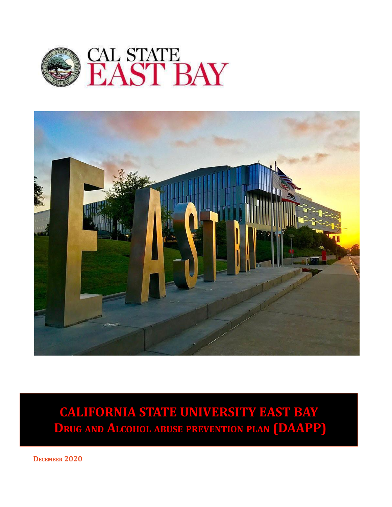



**CALIFORNIA STATE UNIVERSITY EAST BAY DRUG AND ALCOHOL ABUSE PREVENTION PLAN (DAAPP)**

**DECEMBER 2020**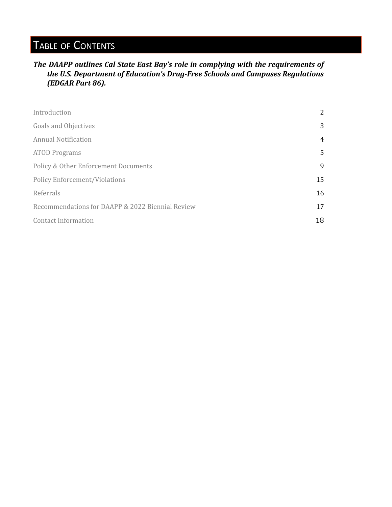# TABLE OF CONTENTS

### *The DAAPP outlines Cal State East Bay's role in complying with the requirements of the U.S. Department of Education's Drug-Free Schools and Campuses Regulations (EDGAR Part 86).*

| Introduction                                     | 2  |
|--------------------------------------------------|----|
| <b>Goals and Objectives</b>                      | 3  |
| <b>Annual Notification</b>                       | 4  |
| <b>ATOD Programs</b>                             | 5  |
| Policy & Other Enforcement Documents             | 9  |
| <b>Policy Enforcement/Violations</b>             | 15 |
| Referrals                                        | 16 |
| Recommendations for DAAPP & 2022 Biennial Review | 17 |
| <b>Contact Information</b>                       | 18 |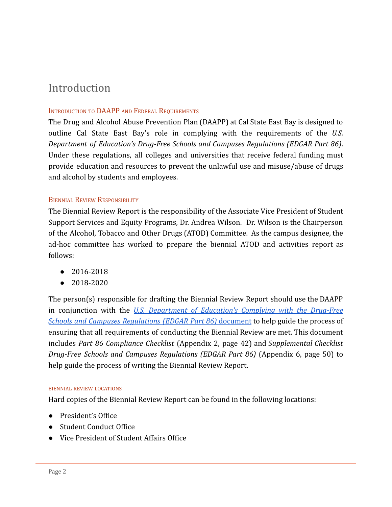# <span id="page-2-0"></span>Introduction

#### INTRODUCTION TO DAAPP AND FEDERAL REQUIREMENTS

The Drug and Alcohol Abuse Prevention Plan (DAAPP) at Cal State East Bay is designed to outline Cal State East Bay's role in complying with the requirements of the *U.S. Department of Education's Drug-Free Schools and Campuses Regulations (EDGAR Part 86)*. Under these regulations, all colleges and universities that receive federal funding must provide education and resources to prevent the unlawful use and misuse/abuse of drugs and alcohol by students and employees.

#### BIENNIAL REVIEW RESPONSIBILITY

The Biennial Review Report is the responsibility of the Associate Vice President of Student Support Services and Equity Programs, Dr. Andrea Wilson. Dr. Wilson is the Chairperson of the Alcohol, Tobacco and Other Drugs (ATOD) Committee. As the campus designee, the ad-hoc committee has worked to prepare the biennial ATOD and activities report as follows:

- 2016-2018
- 2018-2020

The person(s) responsible for drafting the Biennial Review Report should use the DAAPP in conjunction with the *U.S. Department of Education's Complying with the Drug-Free Schools and Campuses Regulations (EDGAR Part 86)* document to help guide the process of ensuring that all requirements of conducting the Biennial Review are met. This document includes *Part 86 Compliance Checklist* (Appendix 2, page 42) and *Supplemental Checklist Drug-Free Schools and Campuses Regulations (EDGAR Part 86)* (Appendix 6, page 50) to help guide the process of writing the Biennial Review Report.

#### BIENNIAL REVIEW LOCATIONS

Hard copies of the Biennial Review Report can be found in the following locations:

- President's Office
- Student Conduct Office
- Vice President of Student Affairs Office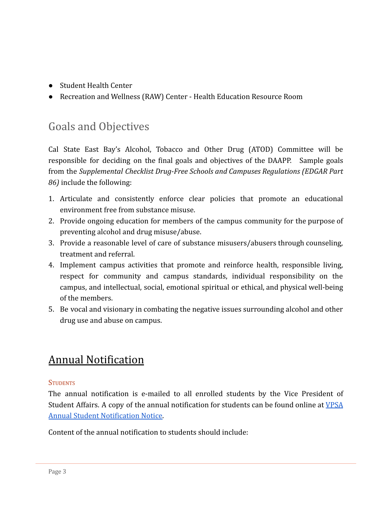- Student Health Center
- Recreation and Wellness (RAW) Center Health Education Resource Room

# <span id="page-3-0"></span>Goals and Objectives

Cal State East Bay's Alcohol, Tobacco and Other Drug (ATOD) Committee will be responsible for deciding on the final goals and objectives of the DAAPP. Sample goals from the *Supplemental Checklist Drug-Free Schools and Campuses Regulations (EDGAR Part 86)* include the following:

- 1. Articulate and consistently enforce clear policies that promote an educational environment free from substance misuse.
- 2. Provide ongoing education for members of the campus community for the purpose of preventing alcohol and drug misuse/abuse.
- 3. Provide a reasonable level of care of substance misusers/abusers through counseling, treatment and referral.
- 4. Implement campus activities that promote and reinforce health, responsible living, respect for community and campus standards, individual responsibility on the campus, and intellectual, social, emotional spiritual or ethical, and physical well-being of the members.
- 5. Be vocal and visionary in combating the negative issues surrounding alcohol and other drug use and abuse on campus.

# <span id="page-3-1"></span>[Annual Notification](#page-3-1)

## **STUDENTS**

The annual notification is e-mailed to all enrolled students by the Vice President of Student Affairs. A copy of the annual notification for students can be found online at VPSA Annual Student Notification Notice.

Content of the annual notification to students should include: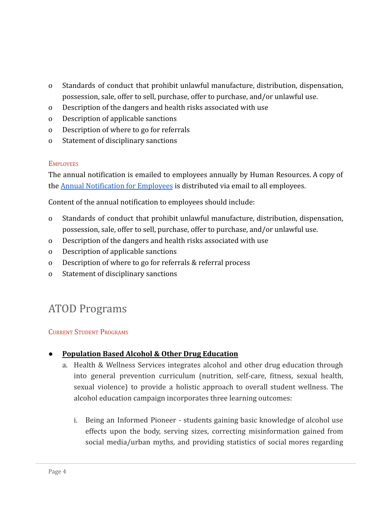- o Standards of conduct that prohibit unlawful manufacture, distribution, dispensation, possession, sale, offer to sell, purchase, offer to purchase, and/or unlawful use.
- o Description of the dangers and health risks associated with use
- o Description of applicable sanctions
- o Description of where to go for referrals
- o Statement of disciplinary sanctions

### **EMPLOYEES**

The annual notification is emailed to employees annually by Human Resources. A copy of the Annual Notification for Employees is distributed via email to all employees.

Content of the annual notification to employees should include:

- o Standards of conduct that prohibit unlawful manufacture, distribution, dispensation, possession, sale, offer to sell, purchase, offer to purchase, and/or unlawful use.
- o Description of the dangers and health risks associated with use
- o Description of applicable sanctions
- o Description of where to go for referrals & referral process
- o Statement of disciplinary sanctions

# <span id="page-4-0"></span>ATOD Programs

## CURRENT STUDENT PROGRAMS

## **● Population Based Alcohol & Other Drug Education**

- a. Health & Wellness Services integrates alcohol and other drug education through into general prevention curriculum (nutrition, self-care, fitness, sexual health, sexual violence) to provide a holistic approach to overall student wellness. The alcohol education campaign incorporates three learning outcomes:
	- i. Being an Informed Pioneer students gaining basic knowledge of alcohol use effects upon the body, serving sizes, correcting misinformation gained from social media/urban myths, and providing statistics of social mores regarding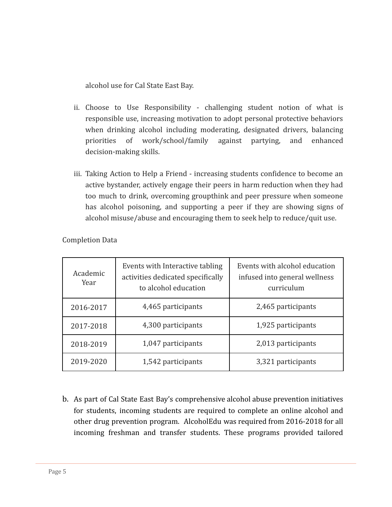alcohol use for Cal State East Bay.

- ii. Choose to Use Responsibility challenging student notion of what is responsible use, increasing motivation to adopt personal protective behaviors when drinking alcohol including moderating, designated drivers, balancing priorities of work/school/family against partying, and enhanced decision-making skills.
- iii. Taking Action to Help a Friend increasing students confidence to become an active bystander, actively engage their peers in harm reduction when they had too much to drink, overcoming groupthink and peer pressure when someone has alcohol poisoning, and supporting a peer if they are showing signs of alcohol misuse/abuse and encouraging them to seek help to reduce/quit use.

| Academic<br>Year | Events with Interactive tabling<br>activities dedicated specifically<br>to alcohol education | Events with alcohol education<br>infused into general wellness<br>curriculum |
|------------------|----------------------------------------------------------------------------------------------|------------------------------------------------------------------------------|
| 2016-2017        | 4,465 participants                                                                           | 2,465 participants                                                           |
| 2017-2018        | 4,300 participants                                                                           | 1,925 participants                                                           |
| 2018-2019        | 1,047 participants                                                                           | 2,013 participants                                                           |
| 2019-2020        | 1,542 participants                                                                           | 3,321 participants                                                           |

Completion Data

b. As part of Cal State East Bay's comprehensive alcohol abuse prevention initiatives for students, incoming students are required to complete an online alcohol and other drug prevention program. AlcoholEdu was required from 2016-2018 for all incoming freshman and transfer students. These programs provided tailored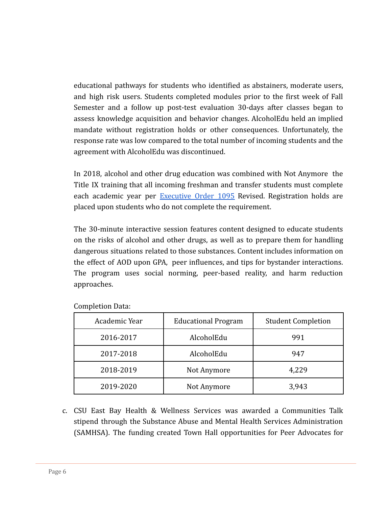educational pathways for students who identified as abstainers, moderate users, and high risk users. Students completed modules prior to the first week of Fall Semester and a follow up post-test evaluation 30-days after classes began to assess knowledge acquisition and behavior changes. AlcoholEdu held an implied mandate without registration holds or other consequences. Unfortunately, the response rate was low compared to the total number of incoming students and the agreement with AlcoholEdu was discontinued.

In 2018, alcohol and other drug education was combined with Not Anymore the Title IX training that all incoming freshman and transfer students must complete each academic year per **Executive Order 1095** Revised. Registration holds are placed upon students who do not complete the requirement.

The 30-minute interactive session features content designed to educate students on the risks of alcohol and other drugs, as well as to prepare them for handling dangerous situations related to those substances. Content includes information on the effect of AOD upon GPA, peer influences, and tips for bystander interactions. The program uses social norming, peer-based reality, and harm reduction approaches.

| Academic Year | <b>Educational Program</b> | <b>Student Completion</b> |
|---------------|----------------------------|---------------------------|
| 2016-2017     | AlcoholEdu                 | 991                       |
| 2017-2018     | AlcoholEdu                 | 947                       |
| 2018-2019     | Not Anymore                | 4,229                     |
| 2019-2020     | Not Anymore                | 3,943                     |

Completion Data:

c. CSU East Bay Health & Wellness Services was awarded a Communities Talk stipend through the Substance Abuse and Mental Health Services Administration (SAMHSA). The funding created Town Hall opportunities for Peer Advocates for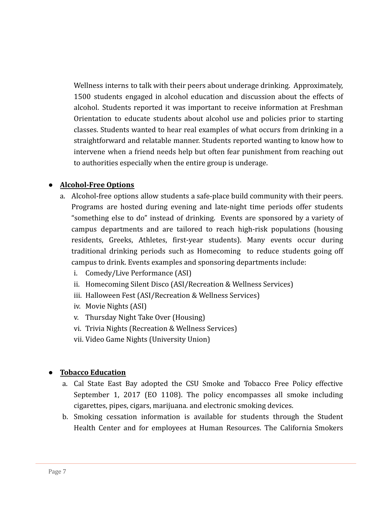Wellness interns to talk with their peers about underage drinking. Approximately, 1500 students engaged in alcohol education and discussion about the effects of alcohol. Students reported it was important to receive information at Freshman Orientation to educate students about alcohol use and policies prior to starting classes. Students wanted to hear real examples of what occurs from drinking in a straightforward and relatable manner. Students reported wanting to know how to intervene when a friend needs help but often fear punishment from reaching out to authorities especially when the entire group is underage.

## **● Alcohol-Free Options**

- a. Alcohol-free options allow students a safe-place build community with their peers. Programs are hosted during evening and late-night time periods offer students "something else to do" instead of drinking. Events are sponsored by a variety of campus departments and are tailored to reach high-risk populations (housing residents, Greeks, Athletes, first-year students). Many events occur during traditional drinking periods such as Homecoming to reduce students going off campus to drink. Events examples and sponsoring departments include:
	- i. Comedy/Live Performance (ASI)
	- ii. Homecoming Silent Disco (ASI/Recreation & Wellness Services)
	- iii. Halloween Fest (ASI/Recreation & Wellness Services)
	- iv. Movie Nights (ASI)
	- v. Thursday Night Take Over (Housing)
	- vi. Trivia Nights (Recreation & Wellness Services)
	- vii. Video Game Nights (University Union)

#### **● Tobacco Education**

- a. Cal State East Bay adopted the CSU Smoke and Tobacco Free Policy effective September 1, 2017 (EO 1108). The policy encompasses all smoke including cigarettes, pipes, cigars, marijuana. and electronic smoking devices.
- b. Smoking cessation information is available for students through the Student Health Center and for employees at Human Resources. The California Smokers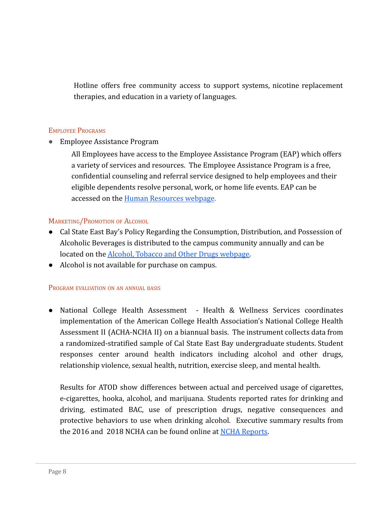Hotline offers free community access to support systems, nicotine replacement therapies, and education in a variety of languages.

#### EMPLOYEE PROGRAMS

● Employee Assistance Program

All Employees have access to the Employee Assistance Program (EAP) which offers a variety of services and resources. The Employee Assistance Program is a free, confidential counseling and referral service designed to help employees and their eligible dependents resolve personal, work, or home life events. EAP can be accessed on the Human Resources webpage.

#### MARKETING/PROMOTION OF ALCOHOL

- Cal State East Bay's Policy Regarding the Consumption, Distribution, and Possession of Alcoholic Beverages is distributed to the campus community annually and can be located on the Alcohol, Tobacco and Other Drugs webpage.
- Alcohol is not available for purchase on campus.

#### PROGRAM EVALUATION ON AN ANNUAL BASIS

● National College Health Assessment - Health & Wellness Services coordinates implementation of the American College Health Association's National College Health Assessment II (ACHA-NCHA II) on a biannual basis. The instrument collects data from a randomized-stratified sample of Cal State East Bay undergraduate students. Student responses center around health indicators including alcohol and other drugs, relationship violence, sexual health, nutrition, exercise sleep, and mental health.

Results for ATOD show differences between actual and perceived usage of cigarettes, e-cigarettes, hooka, alcohol, and marijuana. Students reported rates for drinking and driving, estimated BAC, use of prescription drugs, negative consequences and protective behaviors to use when drinking alcohol. Executive summary results from the 2016 and 2018 NCHA can be found online at NCHA Reports.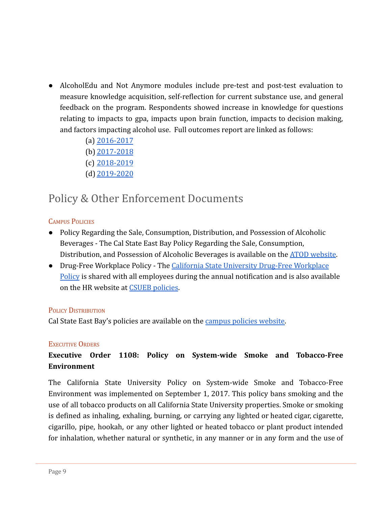- AlcoholEdu and Not Anymore modules include pre-test and post-test evaluation to measure knowledge acquisition, self-reflection for current substance use, and general feedback on the program. Respondents showed increase in knowledge for questions relating to impacts to gpa, impacts upon brain function, impacts to decision making, and factors impacting alcohol use. Full outcomes report are linked as follows:
	- (a) 2016-2017
	- (b) 2017-2018
	- (c) 2018-2019
	- (d) 2019-2020

# <span id="page-9-0"></span>Policy & Other Enforcement Documents

## **CAMPUS POLICIES**

- Policy Regarding the Sale, Consumption, Distribution, and Possession of Alcoholic Beverages - The Cal State East Bay Policy Regarding the Sale, Consumption, Distribution, and Possession of Alcoholic Beverages is available on the ATOD website.
- Drug-Free Workplace Policy The California State University Drug-Free Workplace Policy is shared with all employees during the annual notification and is also available on the HR website at CSUEB policies.

#### POLICY DISTRIBUTION

Cal State East Bay's policies are available on the campus policies website.

#### EXECUTIVE ORDERS

# **Executive Order 1108: Policy on System-wide Smoke and Tobacco-Free Environment**

The California State University Policy on System-wide Smoke and Tobacco-Free Environment was implemented on September 1, 2017. This policy bans smoking and the use of all tobacco products on all California State University properties. Smoke or smoking is defined as inhaling, exhaling, burning, or carrying any lighted or heated cigar, cigarette, cigarillo, pipe, hookah, or any other lighted or heated tobacco or plant product intended for inhalation, whether natural or synthetic, in any manner or in any form and the use of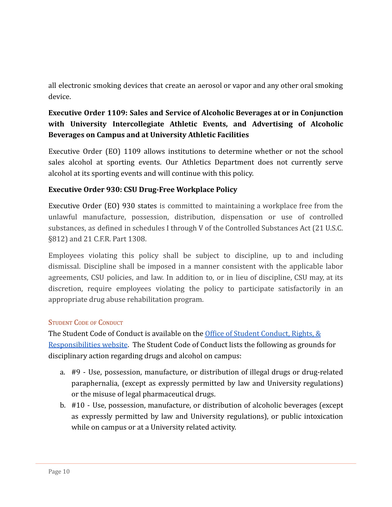all electronic smoking devices that create an aerosol or vapor and any other oral smoking device.

## **Executive Order 1109: Sales and Service of Alcoholic Beverages at or in Conjunction with University Intercollegiate Athletic Events, and Advertising of Alcoholic Beverages on Campus and at University Athletic Facilities**

Executive Order (EO) 1109 allows institutions to determine whether or not the school sales alcohol at sporting events. Our Athletics Department does not currently serve alcohol at its sporting events and will continue with this policy.

## **Executive Order 930: CSU Drug-Free Workplace Policy**

Executive Order (EO) 930 states is committed to maintaining a workplace free from the unlawful manufacture, possession, distribution, dispensation or use of controlled substances, as defined in schedules I through V of the Controlled Substances Act (21 U.S.C. §812) and 21 C.F.R. Part 1308.

Employees violating this policy shall be subject to discipline, up to and including dismissal. Discipline shall be imposed in a manner consistent with the applicable labor agreements, CSU policies, and law. In addition to, or in lieu of discipline, CSU may, at its discretion, require employees violating the policy to participate satisfactorily in an appropriate drug abuse rehabilitation program.

## STUDENT CODE OF CONDUCT

The Student Code of Conduct is available on the Office of Student Conduct, Rights, & Responsibilities website. The Student Code of Conduct lists the following as grounds for disciplinary action regarding drugs and alcohol on campus:

- a. #9 Use, possession, manufacture, or distribution of illegal drugs or drug-related paraphernalia, (except as expressly permitted by law and University regulations) or the misuse of legal pharmaceutical drugs.
- b. #10 Use, possession, manufacture, or distribution of alcoholic beverages (except as expressly permitted by law and University regulations), or public intoxication while on campus or at a University related activity.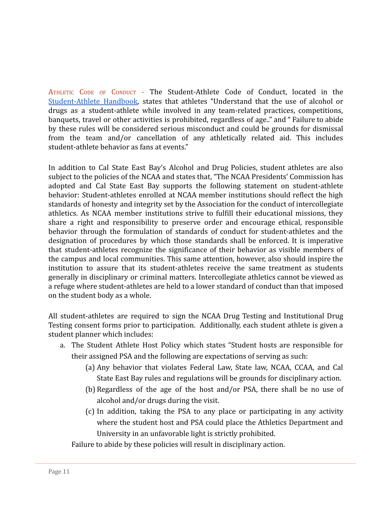ATHLETIC CODE OF CONDUCT - The Student-Athlete Code of Conduct, located in the Student-Athlete Handbook, states that athletes "Understand that the use of alcohol or drugs as a student-athlete while involved in any team-related practices, competitions, banquets, travel or other activities is prohibited, regardless of age.." and " Failure to abide by these rules will be considered serious misconduct and could be grounds for dismissal from the team and/or cancellation of any athletically related aid. This includes student-athlete behavior as fans at events."

In addition to Cal State East Bay's Alcohol and Drug Policies, student athletes are also subject to the policies of the NCAA and states that, "The NCAA Presidents' Commission has adopted and Cal State East Bay supports the following statement on student-athlete behavior: Student-athletes enrolled at NCAA member institutions should reflect the high standards of honesty and integrity set by the Association for the conduct of intercollegiate athletics. As NCAA member institutions strive to fulfill their educational missions, they share a right and responsibility to preserve order and encourage ethical, responsible behavior through the formulation of standards of conduct for student-athletes and the designation of procedures by which those standards shall be enforced. It is imperative that student-athletes recognize the significance of their behavior as visible members of the campus and local communities. This same attention, however, also should inspire the institution to assure that its student-athletes receive the same treatment as students generally in disciplinary or criminal matters. Intercollegiate athletics cannot be viewed as a refuge where student-athletes are held to a lower standard of conduct than that imposed on the student body as a whole.

All student-athletes are required to sign the NCAA Drug Testing and Institutional Drug Testing consent forms prior to participation. Additionally, each student athlete is given a student planner which includes:

- a. The Student Athlete Host Policy which states "Student hosts are responsible for their assigned PSA and the following are expectations of serving as such:
	- (a) Any behavior that violates Federal Law, State law, NCAA, CCAA, and Cal State East Bay rules and regulations will be grounds for disciplinary action.
	- (b) Regardless of the age of the host and/or PSA, there shall be no use of alcohol and/or drugs during the visit.
	- (c) In addition, taking the PSA to any place or participating in any activity where the student host and PSA could place the Athletics Department and University in an unfavorable light is strictly prohibited.

Failure to abide by these policies will result in disciplinary action.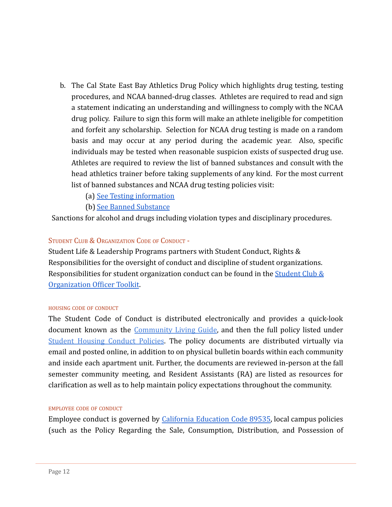- b. The Cal State East Bay Athletics Drug Policy which highlights drug testing, testing procedures, and NCAA banned-drug classes. Athletes are required to read and sign a statement indicating an understanding and willingness to comply with the NCAA drug policy. Failure to sign this form will make an athlete ineligible for competition and forfeit any scholarship. Selection for NCAA drug testing is made on a random basis and may occur at any period during the academic year. Also, specific individuals may be tested when reasonable suspicion exists of suspected drug use. Athletes are required to review the list of banned substances and consult with the head athletics trainer before taking supplements of any kind. For the most current list of banned substances and NCAA drug testing policies visit:
	- (a) See Testing information
	- (b) See Banned Substance

Sanctions for alcohol and drugs including violation types and disciplinary procedures.

#### STUDENT CLUB & ORGANIZATION CODE OF CONDUCT -

Student Life & Leadership Programs partners with Student Conduct, Rights & Responsibilities for the oversight of conduct and discipline of student organizations. Responsibilities for student organization conduct can be found in the Student Club & Organization Officer Toolkit.

#### HOUSING CODE OF CONDUCT

The Student Code of Conduct is distributed electronically and provides a quick-look document known as the Community Living Guide, and then the full policy listed under Student Housing Conduct Policies. The policy documents are distributed virtually via email and posted online, in addition to on physical bulletin boards within each community and inside each apartment unit. Further, the documents are reviewed in-person at the fall semester community meeting, and Resident Assistants (RA) are listed as resources for clarification as well as to help maintain policy expectations throughout the community.

#### EMPLOYEE CODE OF CONDUCT

Employee conduct is governed by California Education Code 89535, local campus policies (such as the Policy Regarding the Sale, Consumption, Distribution, and Possession of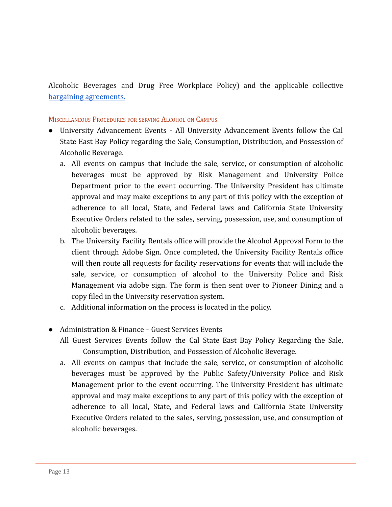Alcoholic Beverages and Drug Free Workplace Policy) and the applicable collective bargaining agreements.

#### MISCELLANEOUS PROCEDURES FOR SERVING ALCOHOL ON CAMPUS

- University Advancement Events All University Advancement Events follow the Cal State East Bay Policy regarding the Sale, Consumption, Distribution, and Possession of Alcoholic Beverage.
	- a. All events on campus that include the sale, service, or consumption of alcoholic beverages must be approved by Risk Management and University Police Department prior to the event occurring. The University President has ultimate approval and may make exceptions to any part of this policy with the exception of adherence to all local, State, and Federal laws and California State University Executive Orders related to the sales, serving, possession, use, and consumption of alcoholic beverages.
	- b. The University Facility Rentals office will provide the Alcohol Approval Form to the client through Adobe Sign. Once completed, the University Facility Rentals office will then route all requests for facility reservations for events that will include the sale, service, or consumption of alcohol to the University Police and Risk Management via adobe sign. The form is then sent over to Pioneer Dining and a copy filed in the University reservation system.
	- c. Additional information on the process is located in the policy.
- Administration & Finance Guest Services Events
	- All Guest Services Events follow the Cal State East Bay Policy Regarding the Sale, Consumption, Distribution, and Possession of Alcoholic Beverage.
	- a. All events on campus that include the sale, service, or consumption of alcoholic beverages must be approved by the Public Safety/University Police and Risk Management prior to the event occurring. The University President has ultimate approval and may make exceptions to any part of this policy with the exception of adherence to all local, State, and Federal laws and California State University Executive Orders related to the sales, serving, possession, use, and consumption of alcoholic beverages.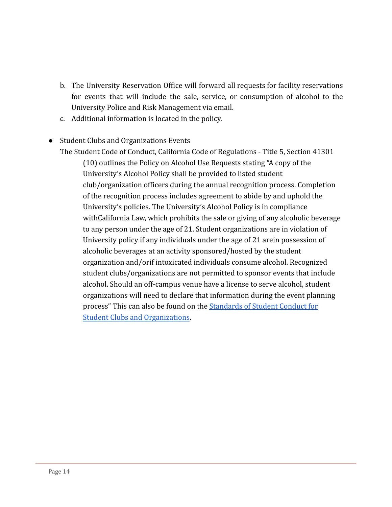- b. The University Reservation Office will forward all requests for facility reservations for events that will include the sale, service, or consumption of alcohol to the University Police and Risk Management via email.
- c. Additional information is located in the policy.
- Student Clubs and Organizations Events

The Student Code of Conduct, California Code of Regulations - Title 5, Section 41301 (10) outlines the Policy on Alcohol Use Requests stating "A copy of the University's Alcohol Policy shall be provided to listed student club/organization officers during the annual recognition process. Completion of the recognition process includes agreement to abide by and uphold the University's policies. The University's Alcohol Policy is in compliance withCalifornia Law, which prohibits the sale or giving of any alcoholic beverage to any person under the age of 21. Student organizations are in violation of University policy if any individuals under the age of 21 arein possession of alcoholic beverages at an activity sponsored/hosted by the student organization and/orif intoxicated individuals consume alcohol. Recognized student clubs/organizations are not permitted to sponsor events that include alcohol. Should an off-campus venue have a license to serve alcohol, student organizations will need to declare that information during the event planning process" This can also be found on the Standards of Student Conduct for Student Clubs and Organizations.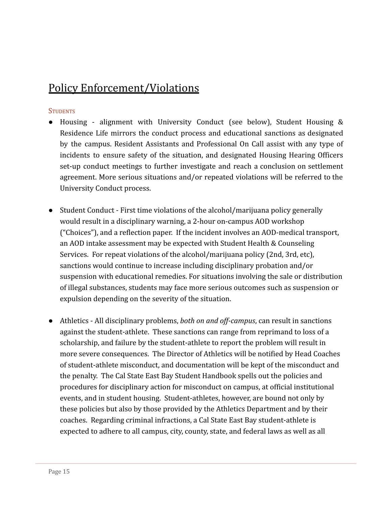# <span id="page-15-0"></span>[Policy Enforcement/Violations](#page-15-0)

### **STUDENTS**

- Housing alignment with University Conduct (see below), Student Housing & Residence Life mirrors the conduct process and educational sanctions as designated by the campus. Resident Assistants and Professional On Call assist with any type of incidents to ensure safety of the situation, and designated Housing Hearing Officers set-up conduct meetings to further investigate and reach a conclusion on settlement agreement. More serious situations and/or repeated violations will be referred to the University Conduct process.
- Student Conduct First time violations of the alcohol/marijuana policy generally would result in a disciplinary warning, a 2-hour on-campus AOD workshop ("Choices"), and a reflection paper. If the incident involves an AOD-medical transport, an AOD intake assessment may be expected with Student Health & Counseling Services. For repeat violations of the alcohol/marijuana policy (2nd, 3rd, etc), sanctions would continue to increase including disciplinary probation and/or suspension with educational remedies. For situations involving the sale or distribution of illegal substances, students may face more serious outcomes such as suspension or expulsion depending on the severity of the situation.
- Athletics All disciplinary problems, *both on and off-campus*, can result in sanctions against the student-athlete. These sanctions can range from reprimand to loss of a scholarship, and failure by the student-athlete to report the problem will result in more severe consequences. The Director of Athletics will be notified by Head Coaches of student-athlete misconduct, and documentation will be kept of the misconduct and the penalty. The Cal State East Bay Student Handbook spells out the policies and procedures for disciplinary action for misconduct on campus, at official institutional events, and in student housing. Student-athletes, however, are bound not only by these policies but also by those provided by the Athletics Department and by their coaches. Regarding criminal infractions, a Cal State East Bay student-athlete is expected to adhere to all campus, city, county, state, and federal laws as well as all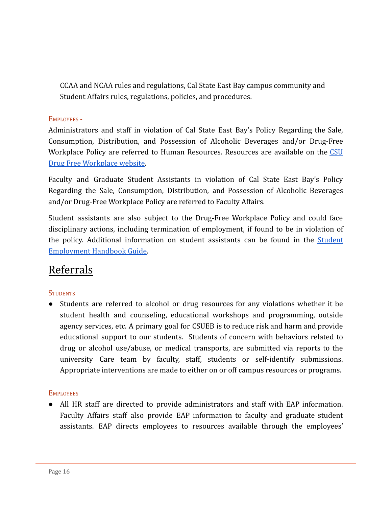CCAA and NCAA rules and regulations, Cal State East Bay campus community and Student Affairs rules, regulations, policies, and procedures.

### EMPLOYEES -

Administrators and staff in violation of Cal State East Bay's Policy Regarding the Sale, Consumption, Distribution, and Possession of Alcoholic Beverages and/or Drug-Free Workplace Policy are referred to Human Resources. Resources are available on the CSU Drug Free Workplace website.

Faculty and Graduate Student Assistants in violation of Cal State East Bay's Policy Regarding the Sale, Consumption, Distribution, and Possession of Alcoholic Beverages and/or Drug-Free Workplace Policy are referred to Faculty Affairs.

Student assistants are also subject to the Drug-Free Workplace Policy and could face disciplinary actions, including termination of employment, if found to be in violation of the policy. Additional information on student assistants can be found in the Student Employment Handbook Guide.

# <span id="page-16-0"></span>[Referrals](#page-16-0)

## **STUDENTS**

● Students are referred to alcohol or drug resources for any violations whether it be student health and counseling, educational workshops and programming, outside agency services, etc. A primary goal for CSUEB is to reduce risk and harm and provide educational support to our students. Students of concern with behaviors related to drug or alcohol use/abuse, or medical transports, are submitted via reports to the university Care team by faculty, staff, students or self-identify submissions. Appropriate interventions are made to either on or off campus resources or programs.

## **EMPLOYEES**

● All HR staff are directed to provide administrators and staff with EAP information. Faculty Affairs staff also provide EAP information to faculty and graduate student assistants. EAP directs employees to resources available through the employees'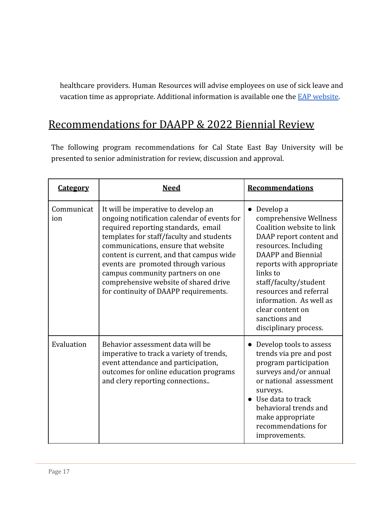healthcare providers. Human Resources will advise employees on use of sick leave and vacation time as appropriate. Additional information is available one the EAP website.

# <span id="page-17-0"></span>[Recommendations for DAAPP & 2022 Biennial Review](#page-17-0)

The following program recommendations for Cal State East Bay University will be presented to senior administration for review, discussion and approval.

| <b>Category</b>   | <b>Need</b>                                                                                                                                                                                                                                                                                                                                                                                                           | <b>Recommendations</b>                                                                                                                                                                                                                                                                                                               |
|-------------------|-----------------------------------------------------------------------------------------------------------------------------------------------------------------------------------------------------------------------------------------------------------------------------------------------------------------------------------------------------------------------------------------------------------------------|--------------------------------------------------------------------------------------------------------------------------------------------------------------------------------------------------------------------------------------------------------------------------------------------------------------------------------------|
| Communicat<br>ion | It will be imperative to develop an<br>ongoing notification calendar of events for<br>required reporting standards, email<br>templates for staff/faculty and students<br>communications, ensure that website<br>content is current, and that campus wide<br>events are promoted through various<br>campus community partners on one<br>comprehensive website of shared drive<br>for continuity of DAAPP requirements. | Develop a<br>comprehensive Wellness<br>Coalition website to link<br>DAAP report content and<br>resources. Including<br><b>DAAPP</b> and Biennial<br>reports with appropriate<br>links to<br>staff/faculty/student<br>resources and referral<br>information. As well as<br>clear content on<br>sanctions and<br>disciplinary process. |
| Evaluation        | Behavior assessment data will be<br>imperative to track a variety of trends,<br>event attendance and participation,<br>outcomes for online education programs<br>and clery reporting connections                                                                                                                                                                                                                      | Develop tools to assess<br>trends via pre and post<br>program participation<br>surveys and/or annual<br>or national assessment<br>surveys.<br>• Use data to track<br>behavioral trends and<br>make appropriate<br>recommendations for<br>improvements.                                                                               |